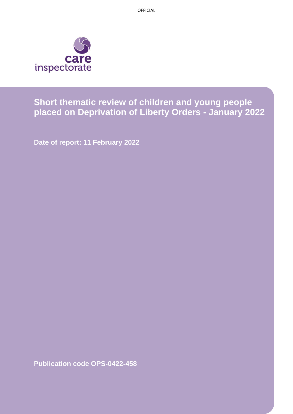OFFICIAL



# **Short thematic review of children and young people placed on Deprivation of Liberty Orders - January 2022**

**Date of report: 11 February 2022**

**Publication code OPS-0422-458**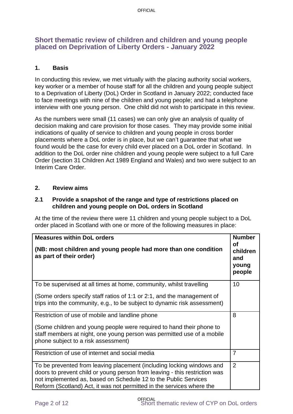# **Short thematic review of children and children and young people placed on Deprivation of Liberty Orders - January 2022**

# **1. Basis**

In conducting this review, we met virtually with the placing authority social workers, key worker or a member of house staff for all the children and young people subject to a Deprivation of Liberty (DoL) Order in Scotland in January 2022; conducted face to face meetings with nine of the children and young people; and had a telephone interview with one young person. One child did not wish to participate in this review.

As the numbers were small (11 cases) we can only give an analysis of quality of decision making and care provision for those cases. They may provide some initial indications of quality of service to children and young people in cross border placements where a DoL order is in place, but we can't guarantee that what we found would be the case for every child ever placed on a DoL order in Scotland. In addition to the DoL order nine children and young people were subject to a full Care Order (section 31 Children Act 1989 England and Wales) and two were subject to an Interim Care Order.

## **2. Review aims**

## **2.1 Provide a snapshot of the range and type of restrictions placed on children and young people on DoL orders in Scotland**

At the time of the review there were 11 children and young people subject to a DoL order placed in Scotland with one or more of the following measures in place:

| <b>Measures within DoL orders</b><br>(NB: most children and young people had more than one condition<br>as part of their order)                                                                                                                                                                 | <b>Number</b><br>Οf<br>children<br>and<br>young<br>people |
|-------------------------------------------------------------------------------------------------------------------------------------------------------------------------------------------------------------------------------------------------------------------------------------------------|-----------------------------------------------------------|
| To be supervised at all times at home, community, whilst travelling<br>(Some orders specify staff ratios of 1:1 or 2:1, and the management of<br>trips into the community, e.g., to be subject to dynamic risk assessment)                                                                      | 10                                                        |
| Restriction of use of mobile and landline phone<br>(Some children and young people were required to hand their phone to<br>staff members at night, one young person was permitted use of a mobile<br>phone subject to a risk assessment)                                                        | 8                                                         |
| Restriction of use of internet and social media                                                                                                                                                                                                                                                 | 7                                                         |
| To be prevented from leaving placement (including locking windows and<br>doors to prevent child or young person from leaving - this restriction was<br>not implemented as, based on Schedule 12 to the Public Services<br>Reform (Scotland) Act, it was not permitted in the services where the | $\overline{2}$                                            |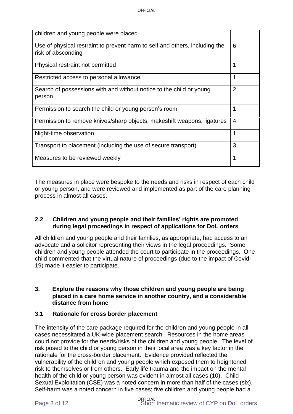OFFICIAL

| children and young people were placed                                                             |   |
|---------------------------------------------------------------------------------------------------|---|
| Use of physical restraint to prevent harm to self and others, including the<br>risk of absconding | 6 |
| Physical restraint not permitted                                                                  | 1 |
| Restricted access to personal allowance                                                           | 1 |
| Search of possessions with and without notice to the child or young<br>person                     | 2 |
| Permission to search the child or young person's room                                             |   |
| Permission to remove knives/sharp objects, makeshift weapons, ligatures                           | 4 |
| Night-time observation                                                                            | 1 |
| Transport to placement (including the use of secure transport)                                    | 3 |
| Measures to be reviewed weekly                                                                    | 1 |

The measures in place were bespoke to the needs and risks in respect of each child or young person, and were reviewed and implemented as part of the care planning process in almost all cases.

## **2.2 Children and young people and their families' rights are promoted during legal proceedings in respect of applications for DoL orders**

All children and young people and their families, as appropriate, had access to an advocate and a solicitor representing their views in the legal proceedings. Some children and young people attended the court to participate in the proceedings. One child commented that the virtual nature of proceedings (due to the impact of Covid-19) made it easier to participate.

## **3. Explore the reasons why those children and young people are being placed in a care home service in another country, and a considerable distance from home**

# **3.1 Rationale for cross border placement**

The intensity of the care package required for the children and young people in all cases necessitated a UK-wide placement search. Resources in the home areas could not provide for the needs/risks of the children and young people. The level of risk posed to the child or young person in their local area was a key factor in the rationale for the cross-border placement. Evidence provided reflected the vulnerability of the children and young people which exposed them to heightened risk to themselves or from others. Early life trauma and the impact on the mental health of the child or young person was evident in almost all cases (10). Child Sexual Exploitation (CSE) was a noted concern in more than half of the cases (six). Self-harm was a noted concern in five cases; five children and young people had a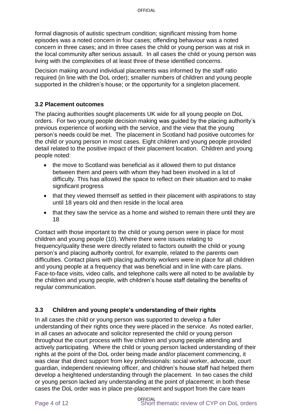formal diagnosis of autistic spectrum condition; significant missing from home episodes was a noted concern in four cases; offending behaviour was a noted concern in three cases; and in three cases the child or young person was at risk in the local community after serious assault. In all cases the child or young person was living with the complexities of at least three of these identified concerns.

Decision making around individual placements was informed by the staff ratio required (in line with the DoL order); smaller numbers of children and young people supported in the children's house; or the opportunity for a singleton placement.

## **3.2 Placement outcomes**

The placing authorities sought placements UK wide for all young people on DoL orders. For two young people decision making was guided by the placing authority's previous experience of working with the service, and the view that the young person's needs could be met. The placement in Scotland had positive outcomes for the child or young person in most cases. Eight children and young people provided detail related to the positive impact of their placement location. Children and young people noted:

- the move to Scotland was beneficial as it allowed them to put distance between them and peers with whom they had been involved in a lot of difficulty. This has allowed the space to reflect on their situation and to make significant progress
- that they viewed themself as settled in their placement with aspirations to stay until 18 years old and then reside in the local area
- that they saw the service as a home and wished to remain there until they are 18

Contact with those important to the child or young person were in place for most children and young people (10). Where there were issues relating to frequency/quality these were directly related to factors outwith the child or young person's and placing authority control, for example, related to the parents own difficulties. Contact plans with placing authority workers were in place for all children and young people at a frequency that was beneficial and in line with care plans. Face-to-face visits, video calls, and telephone calls were all noted to be available by the children and young people, with children's house staff detailing the benefits of regular communication.

## **3.3 Children and young people's understanding of their rights**

In all cases the child or young person was supported to develop a fuller understanding of their rights once they were placed in the service. As noted earlier, in all cases an advocate and solicitor represented the child or young person throughout the court process with five children and young people attending and actively participating. Where the child or young person lacked understanding of their rights at the point of the DoL order being made and/or placement commencing, it was clear that direct support from key professionals: social worker, advocate, court guardian, independent reviewing officer, and children's house staff had helped them develop a heightened understanding through the placement. In two cases the child or young person lacked any understanding at the point of placement; in both these cases the DoL order was in place pre-placement and support from the care team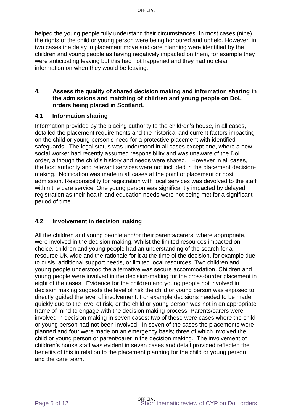helped the young people fully understand their circumstances. In most cases (nine) the rights of the child or young person were being honoured and upheld. However, in two cases the delay in placement move and care planning were identified by the children and young people as having negatively impacted on them, for example they were anticipating leaving but this had not happened and they had no clear information on when they would be leaving.

## **4. Assess the quality of shared decision making and information sharing in the admissions and matching of children and young people on DoL orders being placed in Scotland.**

#### **4.1 Information sharing**

Information provided by the placing authority to the children's house, in all cases, detailed the placement requirements and the historical and current factors impacting on the child or young person's need for a protective placement with identified safeguards. The legal status was understood in all cases except one, where a new social worker had recently assumed responsibility and was unaware of the DoL order, although the child's history and needs were shared. However in all cases, the host authority and relevant services were not included in the placement decisionmaking. Notification was made in all cases at the point of placement or post admission. Responsibility for registration with local services was devolved to the staff within the care service. One young person was significantly impacted by delayed registration as their health and education needs were not being met for a significant period of time.

## **4.2 Involvement in decision making**

All the children and young people and/or their parents/carers, where appropriate, were involved in the decision making. Whilst the limited resources impacted on choice, children and young people had an understanding of the search for a resource UK-wide and the rationale for it at the time of the decision, for example due to crisis, additional support needs, or limited local resources. Two children and young people understood the alternative was secure accommodation. Children and young people were involved in the decision-making for the cross-border placement in eight of the cases. Evidence for the children and young people not involved in decision making suggests the level of risk the child or young person was exposed to directly guided the level of involvement. For example decisions needed to be made quickly due to the level of risk, or the child or young person was not in an appropriate frame of mind to engage with the decision making process. Parents/carers were involved in decision making in seven cases; two of these were cases where the child or young person had not been involved. In seven of the cases the placements were planned and four were made on an emergency basis; three of which involved the child or young person or parent/carer in the decision making. The involvement of children's house staff was evident in seven cases and detail provided reflected the benefits of this in relation to the placement planning for the child or young person and the care team.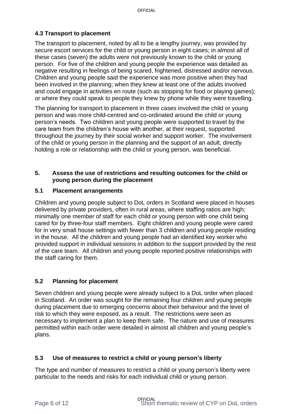## **4.3 Transport to placement**

The transport to placement, noted by all to be a lengthy journey, was provided by secure escort services for the child or young person in eight cases; in almost all of these cases (seven) the adults were not previously known to the child or young person. For five of the children and young people the experience was detailed as negative resulting in feelings of being scared, frightened, distressed and/or nervous. Children and young people said the experience was more positive when they had been involved in the planning; when they knew at least one of the adults involved and could engage in activities en route (such as stopping for food or playing games); or where they could speak to people they knew by phone while they were travelling.

The planning for transport to placement in three cases involved the child or young person and was more child-centred and co-ordinated around the child or young person's needs. Two children and young people were supported to travel by the care team from the children's house with another, at their request, supported throughout the journey by their social worker and support worker. The involvement of the child or young person in the planning and the support of an adult, directly holding a role or relationship with the child or young person, was beneficial.

## **5. Assess the use of restrictions and resulting outcomes for the child or young person during the placement**

## **5.1 Placement arrangements**

Children and young people subject to DoL orders in Scotland were placed in houses delivered by private providers, often in rural areas, where staffing ratios are high; minimally one member of staff for each child or young person with one child being cared for by three-four staff members. Eight children and young people were cared for in very small house settings with fewer than 3 children and young people residing in the house. All the children and young people had an identified key worker who provided support in individual sessions in addition to the support provided by the rest of the care team. All children and young people reported positive relationships with the staff caring for them.

## **5.2 Planning for placement**

Seven children and young people were already subject to a DoL order when placed in Scotland. An order was sought for the remaining four children and young people during placement due to emerging concerns about their behaviour and the level of risk to which they were exposed, as a result. The restrictions were seen as necessary to implement a plan to keep them safe. The nature and use of measures permitted within each order were detailed in almost all children and young people's plans.

## **5.3 Use of measures to restrict a child or young person's liberty**

The type and number of measures to restrict a child or young person's liberty were particular to the needs and risks for each individual child or young person.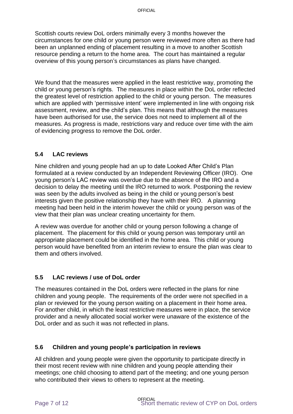Scottish courts review DoL orders minimally every 3 months however the circumstances for one child or young person were reviewed more often as there had been an unplanned ending of placement resulting in a move to another Scottish resource pending a return to the home area. The court has maintained a regular overview of this young person's circumstances as plans have changed.

We found that the measures were applied in the least restrictive way, promoting the child or young person's rights. The measures in place within the DoL order reflected the greatest level of restriction applied to the child or young person. The measures which are applied with 'permissive intent' were implemented in line with ongoing risk assessment, review, and the child's plan. This means that although the measures have been authorised for use, the service does not need to implement all of the measures. As progress is made, restrictions vary and reduce over time with the aim of evidencing progress to remove the DoL order.

## **5.4 LAC reviews**

Nine children and young people had an up to date Looked After Child's Plan formulated at a review conducted by an Independent Reviewing Officer (IRO). One young person's LAC review was overdue due to the absence of the IRO and a decision to delay the meeting until the IRO returned to work. Postponing the review was seen by the adults involved as being in the child or young person's best interests given the positive relationship they have with their IRO. A planning meeting had been held in the interim however the child or young person was of the view that their plan was unclear creating uncertainty for them.

A review was overdue for another child or young person following a change of placement. The placement for this child or young person was temporary until an appropriate placement could be identified in the home area. This child or young person would have benefited from an interim review to ensure the plan was clear to them and others involved.

#### **5.5 LAC reviews / use of DoL order**

The measures contained in the DoL orders were reflected in the plans for nine children and young people. The requirements of the order were not specified in a plan or reviewed for the young person waiting on a placement in their home area. For another child, in which the least restrictive measures were in place, the service provider and a newly allocated social worker were unaware of the existence of the DoL order and as such it was not reflected in plans.

## **5.6 Children and young people's participation in reviews**

All children and young people were given the opportunity to participate directly in their most recent review with nine children and young people attending their meetings; one child choosing to attend part of the meeting; and one young person who contributed their views to others to represent at the meeting.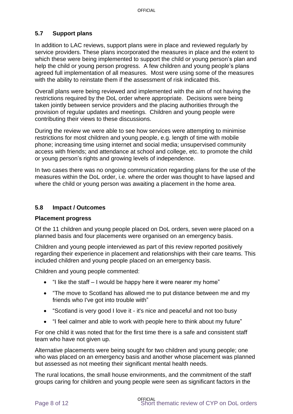## **5.7 Support plans**

In addition to LAC reviews, support plans were in place and reviewed regularly by service providers. These plans incorporated the measures in place and the extent to which these were being implemented to support the child or young person's plan and help the child or young person progress. A few children and young people's plans agreed full implementation of all measures. Most were using some of the measures with the ability to reinstate them if the assessment of risk indicated this.

Overall plans were being reviewed and implemented with the aim of not having the restrictions required by the DoL order where appropriate. Decisions were being taken jointly between service providers and the placing authorities through the provision of regular updates and meetings. Children and young people were contributing their views to these discussions.

During the review we were able to see how services were attempting to minimise restrictions for most children and young people, e.g. length of time with mobile phone; increasing time using internet and social media; unsupervised community access with friends; and attendance at school and college, etc. to promote the child or young person's rights and growing levels of independence.

In two cases there was no ongoing communication regarding plans for the use of the measures within the DoL order, i.e. where the order was thought to have lapsed and where the child or young person was awaiting a placement in the home area.

#### **5.8 Impact / Outcomes**

#### **Placement progress**

Of the 11 children and young people placed on DoL orders, seven were placed on a planned basis and four placements were organised on an emergency basis.

Children and young people interviewed as part of this review reported positively regarding their experience in placement and relationships with their care teams. This included children and young people placed on an emergency basis.

Children and young people commented:

- "I like the staff I would be happy here it were nearer my home"
- "The move to Scotland has allowed me to put distance between me and my friends who I've got into trouble with"
- "Scotland is very good I love it it's nice and peaceful and not too busy
- "I feel calmer and able to work with people here to think about my future"

For one child it was noted that for the first time there is a safe and consistent staff team who have not given up.

Alternative placements were being sought for two children and young people; one who was placed on an emergency basis and another whose placement was planned but assessed as not meeting their significant mental health needs.

The rural locations, the small house environments, and the commitment of the staff groups caring for children and young people were seen as significant factors in the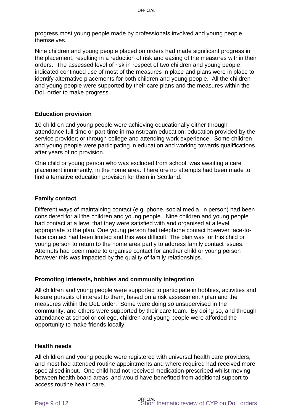progress most young people made by professionals involved and young people themselves.

Nine children and young people placed on orders had made significant progress in the placement, resulting in a reduction of risk and easing of the measures within their orders. The assessed level of risk in respect of two children and young people indicated continued use of most of the measures in place and plans were in place to identify alternative placements for both children and young people. All the children and young people were supported by their care plans and the measures within the DoL order to make progress.

#### **Education provision**

10 children and young people were achieving educationally either through attendance full-time or part-time in mainstream education; education provided by the service provider; or through college and attending work experience. Some children and young people were participating in education and working towards qualifications after years of no provision.

One child or young person who was excluded from school, was awaiting a care placement imminently, in the home area. Therefore no attempts had been made to find alternative education provision for them in Scotland.

#### **Family contact**

Different ways of maintaining contact (e.g. phone, social media, in person) had been considered for all the children and young people. Nine children and young people had contact at a level that they were satisfied with and organised at a level appropriate to the plan. One young person had telephone contact however face-toface contact had been limited and this was difficult. The plan was for this child or young person to return to the home area partly to address family contact issues. Attempts had been made to organise contact for another child or young person however this was impacted by the quality of family relationships.

#### **Promoting interests, hobbies and community integration**

All children and young people were supported to participate in hobbies, activities and leisure pursuits of interest to them, based on a risk assessment / plan and the measures within the DoL order. Some were doing so unsupervised in the community, and others were supported by their care team. By doing so, and through attendance at school or college, children and young people were afforded the opportunity to make friends locally.

#### **Health needs**

All children and young people were registered with universal health care providers, and most had attended routine appointments and where required had received more specialised input. One child had not received medication prescribed whilst moving between health board areas, and would have benefitted from additional support to access routine health care.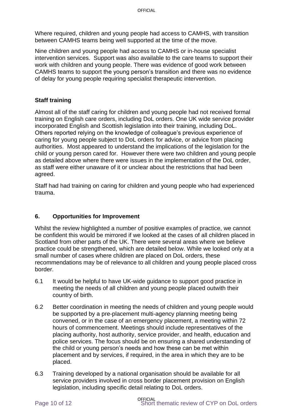Where required, children and young people had access to CAMHS, with transition between CAMHS teams being well supported at the time of the move.

Nine children and young people had access to CAMHS or in-house specialist intervention services. Support was also available to the care teams to support their work with children and young people. There was evidence of good work between CAMHS teams to support the young person's transition and there was no evidence of delay for young people requiring specialist therapeutic intervention.

## **Staff training**

Almost all of the staff caring for children and young people had not received formal training on English care orders, including DoL orders. One UK wide service provider incorporated English and Scottish legislation into their training, including DoL. Others reported relying on the knowledge of colleague's previous experience of caring for young people subject to DoL orders for advice, or advice from placing authorities. Most appeared to understand the implications of the legislation for the child or young person cared for. However there were two children and young people as detailed above where there were issues in the implementation of the DoL order, as staff were either unaware of it or unclear about the restrictions that had been agreed.

Staff had had training on caring for children and young people who had experienced trauma.

## **6. Opportunities for Improvement**

Whilst the review highlighted a number of positive examples of practice, we cannot be confident this would be mirrored if we looked at the cases of all children placed in Scotland from other parts of the UK. There were several areas where we believe practice could be strengthened, which are detailed below. While we looked only at a small number of cases where children are placed on DoL orders, these recommendations may be of relevance to all children and young people placed cross border.

- 6.1 It would be helpful to have UK-wide guidance to support good practice in meeting the needs of all children and young people placed outwith their country of birth.
- 6.2 Better coordination in meeting the needs of children and young people would be supported by a pre-placement multi-agency planning meeting being convened, or in the case of an emergency placement, a meeting within 72 hours of commencement. Meetings should include representatives of the placing authority, host authority, service provider, and health, education and police services. The focus should be on ensuring a shared understanding of the child or young person's needs and how these can be met within placement and by services, if required, in the area in which they are to be placed.
- 6.3 Training developed by a national organisation should be available for all service providers involved in cross border placement provision on English legislation, including specific detail relating to DoL orders.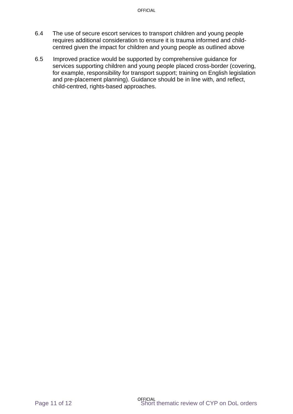- 6.4 The use of secure escort services to transport children and young people requires additional consideration to ensure it is trauma informed and childcentred given the impact for children and young people as outlined above
- 6.5 Improved practice would be supported by comprehensive guidance for services supporting children and young people placed cross-border (covering, for example, responsibility for transport support; training on English legislation and pre-placement planning). Guidance should be in line with, and reflect, child-centred, rights-based approaches.